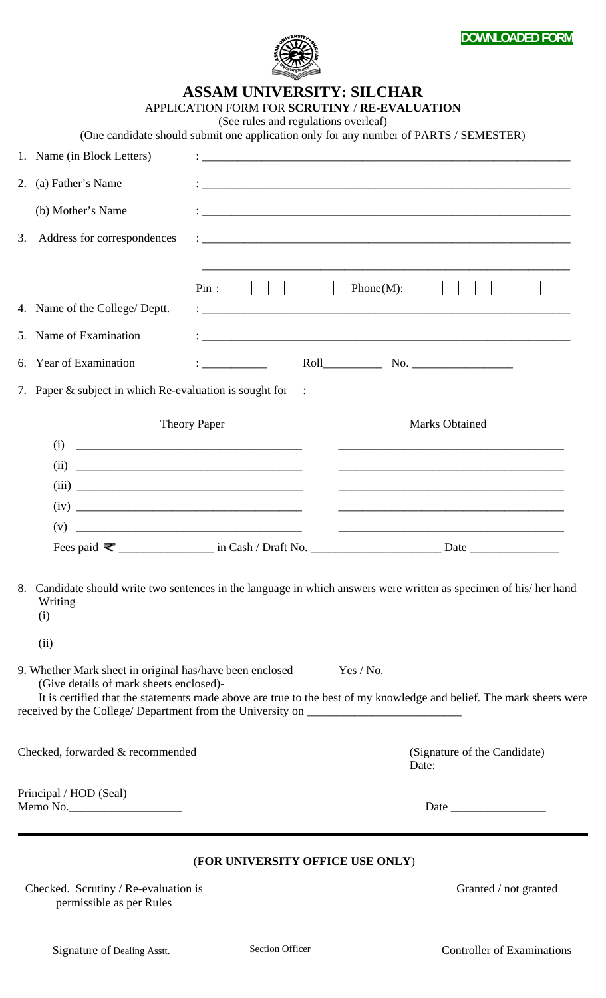

**ASSAM UNIVERSITY: SILCHAR** 

|                                    |                                                                                                                                                                                          | APPLICATION FORM FOR SCRUTINY / RE-EVALUATION<br>(See rules and regulations overleaf) |                                                                                                                                   |
|------------------------------------|------------------------------------------------------------------------------------------------------------------------------------------------------------------------------------------|---------------------------------------------------------------------------------------|-----------------------------------------------------------------------------------------------------------------------------------|
|                                    |                                                                                                                                                                                          |                                                                                       | (One candidate should submit one application only for any number of PARTS / SEMESTER)                                             |
|                                    | 1. Name (in Block Letters)                                                                                                                                                               |                                                                                       |                                                                                                                                   |
| 2.                                 | (a) Father's Name                                                                                                                                                                        |                                                                                       |                                                                                                                                   |
|                                    | (b) Mother's Name                                                                                                                                                                        |                                                                                       |                                                                                                                                   |
| 3.                                 | Address for correspondences                                                                                                                                                              |                                                                                       |                                                                                                                                   |
|                                    | 4. Name of the College/ Deptt.                                                                                                                                                           | Pin:<br>.                                                                             | Phone(M): $\vert$<br>11 I I<br><b>The Common</b>                                                                                  |
|                                    | 5. Name of Examination                                                                                                                                                                   |                                                                                       |                                                                                                                                   |
| 6.                                 | <b>Year of Examination</b>                                                                                                                                                               |                                                                                       | Roll No.                                                                                                                          |
|                                    | 7. Paper & subject in which Re-evaluation is sought for                                                                                                                                  |                                                                                       |                                                                                                                                   |
| <b>Theory Paper</b>                |                                                                                                                                                                                          |                                                                                       | <b>Marks Obtained</b>                                                                                                             |
|                                    | (i)                                                                                                                                                                                      |                                                                                       | <u> 1989 - Johann Barn, amerikan berkeman dan berkeman berkeman dan berkeman dan berkeman dan berkeman dan berkema</u>            |
|                                    | (ii)                                                                                                                                                                                     |                                                                                       | <u> 1989 - Johann Stoff, deutscher Stoff, der Stoff, der Stoff, der Stoff, der Stoff, der Stoff, der Stoff, der S</u>             |
|                                    |                                                                                                                                                                                          |                                                                                       | <u> 1989 - Johann Stoff, amerikansk politiker (d. 1989)</u>                                                                       |
|                                    |                                                                                                                                                                                          |                                                                                       |                                                                                                                                   |
|                                    | (v)                                                                                                                                                                                      |                                                                                       |                                                                                                                                   |
|                                    |                                                                                                                                                                                          |                                                                                       |                                                                                                                                   |
|                                    | Writing<br>(i)                                                                                                                                                                           |                                                                                       | 8. Candidate should write two sentences in the language in which answers were written as specimen of his/her hand                 |
|                                    | (ii)                                                                                                                                                                                     |                                                                                       |                                                                                                                                   |
|                                    | 9. Whether Mark sheet in original has/have been enclosed<br>(Give details of mark sheets enclosed)-<br>received by the College/ Department from the University on ______________________ |                                                                                       | Yes / No.<br>It is certified that the statements made above are true to the best of my knowledge and belief. The mark sheets were |
| Checked, forwarded & recommended   |                                                                                                                                                                                          |                                                                                       | (Signature of the Candidate)<br>Date:                                                                                             |
| Principal / HOD (Seal)<br>Memo No. |                                                                                                                                                                                          |                                                                                       |                                                                                                                                   |
|                                    |                                                                                                                                                                                          | (FOR UNIVERSITY OFFICE USE ONLY)                                                      |                                                                                                                                   |
|                                    | Checked. Scrutiny / Re-evaluation is<br>permissible as per Rules                                                                                                                         |                                                                                       | Granted / not granted                                                                                                             |